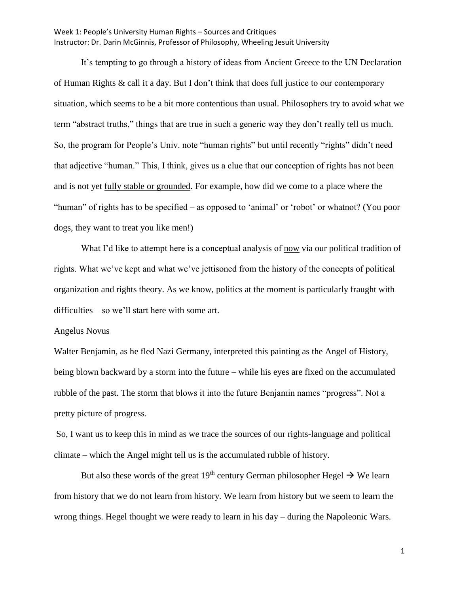It's tempting to go through a history of ideas from Ancient Greece to the UN Declaration of Human Rights & call it a day. But I don't think that does full justice to our contemporary situation, which seems to be a bit more contentious than usual. Philosophers try to avoid what we term "abstract truths," things that are true in such a generic way they don't really tell us much. So, the program for People's Univ. note "human rights" but until recently "rights" didn't need that adjective "human." This, I think, gives us a clue that our conception of rights has not been and is not yet fully stable or grounded. For example, how did we come to a place where the "human" of rights has to be specified – as opposed to 'animal' or 'robot' or whatnot? (You poor dogs, they want to treat you like men!)

What I'd like to attempt here is a conceptual analysis of now via our political tradition of rights. What we've kept and what we've jettisoned from the history of the concepts of political organization and rights theory. As we know, politics at the moment is particularly fraught with difficulties – so we'll start here with some art.

#### Angelus Novus

Walter Benjamin, as he fled Nazi Germany, interpreted this painting as the Angel of History, being blown backward by a storm into the future – while his eyes are fixed on the accumulated rubble of the past. The storm that blows it into the future Benjamin names "progress". Not a pretty picture of progress.

So, I want us to keep this in mind as we trace the sources of our rights-language and political climate – which the Angel might tell us is the accumulated rubble of history.

But also these words of the great 19<sup>th</sup> century German philosopher Hegel  $\rightarrow$  We learn from history that we do not learn from history. We learn from history but we seem to learn the wrong things. Hegel thought we were ready to learn in his day – during the Napoleonic Wars.

1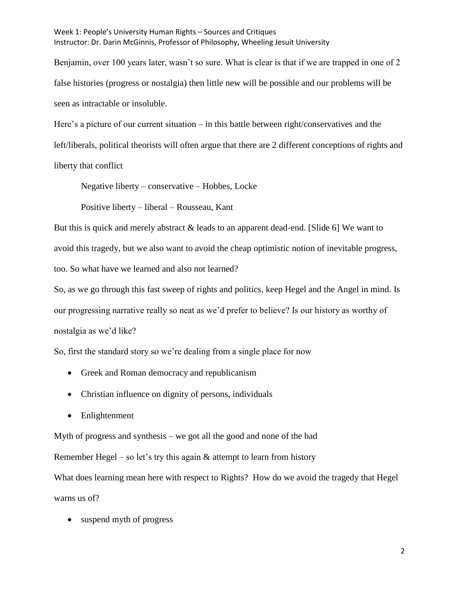Benjamin, over 100 years later, wasn't so sure. What is clear is that if we are trapped in one of 2 false histories (progress or nostalgia) then little new will be possible and our problems will be seen as intractable or insoluble.

Here's a picture of our current situation – in this battle between right/conservatives and the left/liberals, political theorists will often argue that there are 2 different conceptions of rights and liberty that conflict

Negative liberty – conservative – Hobbes, Locke

Positive liberty – liberal – Rousseau, Kant

But this is quick and merely abstract & leads to an apparent dead-end. [Slide 6] We want to avoid this tragedy, but we also want to avoid the cheap optimistic notion of inevitable progress, too. So what have we learned and also not learned?

So, as we go through this fast sweep of rights and politics, keep Hegel and the Angel in mind. Is our progressing narrative really so neat as we'd prefer to believe? Is our history as worthy of nostalgia as we'd like?

So, first the standard story so we're dealing from a single place for now

- Greek and Roman democracy and republicanism
- Christian influence on dignity of persons, individuals
- Enlightenment

Myth of progress and synthesis – we got all the good and none of the bad

Remember Hegel – so let's try this again  $&$  attempt to learn from history

What does learning mean here with respect to Rights? How do we avoid the tragedy that Hegel warns us of?

• suspend myth of progress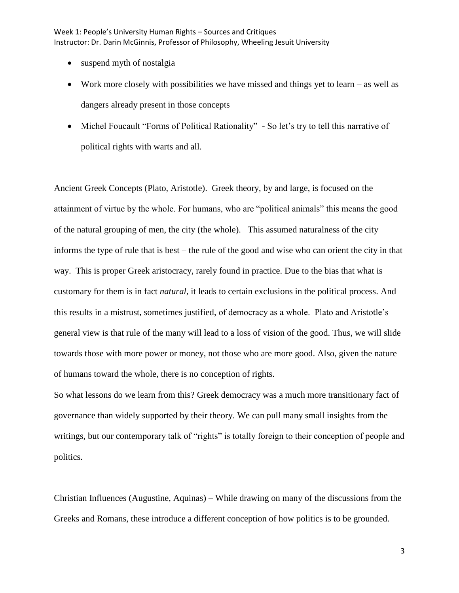- suspend myth of nostalgia
- Work more closely with possibilities we have missed and things yet to learn  $-$  as well as dangers already present in those concepts
- Michel Foucault "Forms of Political Rationality" So let's try to tell this narrative of political rights with warts and all.

Ancient Greek Concepts (Plato, Aristotle). Greek theory, by and large, is focused on the attainment of virtue by the whole. For humans, who are "political animals" this means the good of the natural grouping of men, the city (the whole). This assumed naturalness of the city informs the type of rule that is best – the rule of the good and wise who can orient the city in that way. This is proper Greek aristocracy, rarely found in practice. Due to the bias that what is customary for them is in fact *natural*, it leads to certain exclusions in the political process. And this results in a mistrust, sometimes justified, of democracy as a whole. Plato and Aristotle's general view is that rule of the many will lead to a loss of vision of the good. Thus, we will slide towards those with more power or money, not those who are more good. Also, given the nature of humans toward the whole, there is no conception of rights.

So what lessons do we learn from this? Greek democracy was a much more transitionary fact of governance than widely supported by their theory. We can pull many small insights from the writings, but our contemporary talk of "rights" is totally foreign to their conception of people and politics.

Christian Influences (Augustine, Aquinas) – While drawing on many of the discussions from the Greeks and Romans, these introduce a different conception of how politics is to be grounded.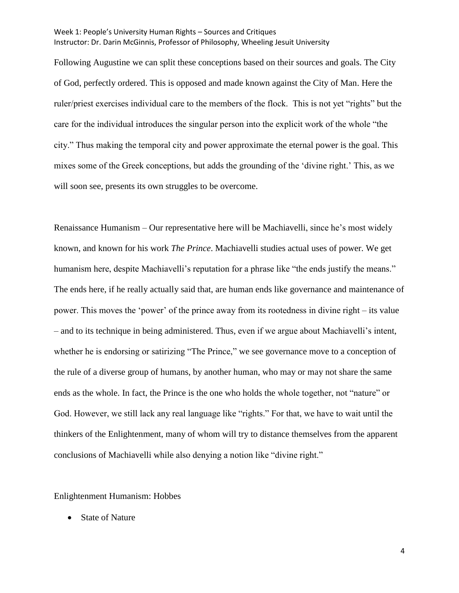Following Augustine we can split these conceptions based on their sources and goals. The City of God, perfectly ordered. This is opposed and made known against the City of Man. Here the ruler/priest exercises individual care to the members of the flock. This is not yet "rights" but the care for the individual introduces the singular person into the explicit work of the whole "the city." Thus making the temporal city and power approximate the eternal power is the goal. This mixes some of the Greek conceptions, but adds the grounding of the 'divine right.' This, as we will soon see, presents its own struggles to be overcome.

Renaissance Humanism – Our representative here will be Machiavelli, since he's most widely known, and known for his work *The Prince*. Machiavelli studies actual uses of power. We get humanism here, despite Machiavelli's reputation for a phrase like "the ends justify the means." The ends here, if he really actually said that, are human ends like governance and maintenance of power. This moves the 'power' of the prince away from its rootedness in divine right – its value – and to its technique in being administered. Thus, even if we argue about Machiavelli's intent, whether he is endorsing or satirizing "The Prince," we see governance move to a conception of the rule of a diverse group of humans, by another human, who may or may not share the same ends as the whole. In fact, the Prince is the one who holds the whole together, not "nature" or God. However, we still lack any real language like "rights." For that, we have to wait until the thinkers of the Enlightenment, many of whom will try to distance themselves from the apparent conclusions of Machiavelli while also denying a notion like "divine right."

#### Enlightenment Humanism: Hobbes

• State of Nature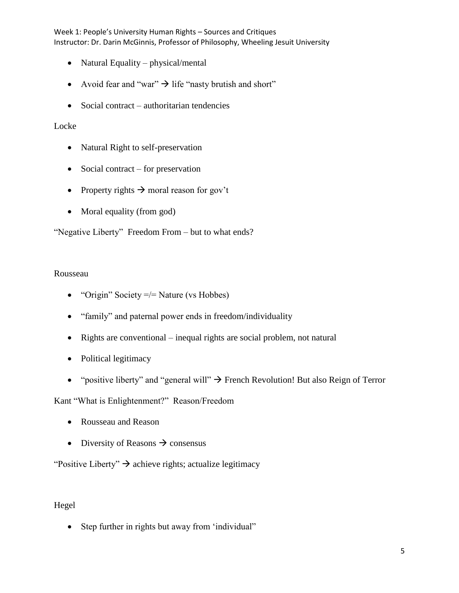- Natural Equality physical/mental
- Avoid fear and "war"  $\rightarrow$  life "nasty brutish and short"
- Social contract authoritarian tendencies

## Locke

- Natural Right to self-preservation
- Social contract for preservation
- Property rights  $\rightarrow$  moral reason for gov't
- Moral equality (from god)

"Negative Liberty" Freedom From – but to what ends?

## Rousseau

- "Origin" Society  $=$   $=$  Nature (vs Hobbes)
- "family" and paternal power ends in freedom/individuality
- Rights are conventional inequal rights are social problem, not natural
- Political legitimacy
- "positive liberty" and "general will"  $\rightarrow$  French Revolution! But also Reign of Terror

Kant "What is Enlightenment?" Reason/Freedom

- Rousseau and Reason
- Diversity of Reasons  $\rightarrow$  consensus

"Positive Liberty"  $\rightarrow$  achieve rights; actualize legitimacy

# Hegel

• Step further in rights but away from 'individual"